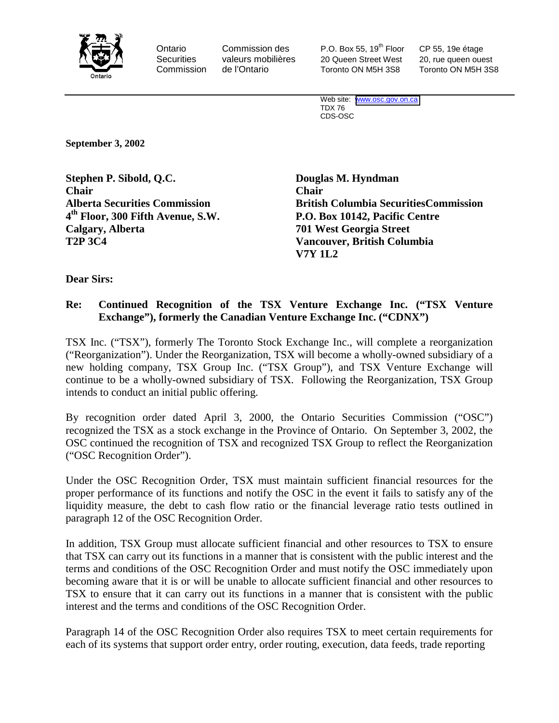

Ontario Commission des P.O. Box 55, 19<sup>th</sup> Floor CP 55, 19e étage Securities valeurs mobilières 20 Queen Street West 20, rue queen ouest Commission de l'Ontario Toronto ON M5H 3S8 Toronto ON M5H 3S8

Web site: [www.osc.gov.on.ca](http://www.osc.gov.on.ca/) TDX 76 CDS-OSC

**September 3, 2002** 

**Stephen P. Sibold, Q.C. Douglas M. Hyndman Chair Chair 4th Floor, 300 Fifth Avenue, S.W. P.O. Box 10142, Pacific Centre Calgary, Alberta 701 West Georgia Street T2P 3C4 Vancouver, British Columbia** 

**Alberta Securities Commission British Columbia SecuritiesCommission V7Y 1L2** 

**Dear Sirs:** 

## **Re: Continued Recognition of the TSX Venture Exchange Inc. ("TSX Venture Exchange"), formerly the Canadian Venture Exchange Inc. ("CDNX")**

TSX Inc. ("TSX"), formerly The Toronto Stock Exchange Inc., will complete a reorganization ("Reorganization"). Under the Reorganization, TSX will become a wholly-owned subsidiary of a new holding company, TSX Group Inc. ("TSX Group"), and TSX Venture Exchange will continue to be a wholly-owned subsidiary of TSX. Following the Reorganization, TSX Group intends to conduct an initial public offering.

By recognition order dated April 3, 2000, the Ontario Securities Commission ("OSC") recognized the TSX as a stock exchange in the Province of Ontario. On September 3, 2002, the OSC continued the recognition of TSX and recognized TSX Group to reflect the Reorganization ("OSC Recognition Order").

Under the OSC Recognition Order, TSX must maintain sufficient financial resources for the proper performance of its functions and notify the OSC in the event it fails to satisfy any of the liquidity measure, the debt to cash flow ratio or the financial leverage ratio tests outlined in paragraph 12 of the OSC Recognition Order.

In addition, TSX Group must allocate sufficient financial and other resources to TSX to ensure that TSX can carry out its functions in a manner that is consistent with the public interest and the terms and conditions of the OSC Recognition Order and must notify the OSC immediately upon becoming aware that it is or will be unable to allocate sufficient financial and other resources to TSX to ensure that it can carry out its functions in a manner that is consistent with the public interest and the terms and conditions of the OSC Recognition Order.

Paragraph 14 of the OSC Recognition Order also requires TSX to meet certain requirements for each of its systems that support order entry, order routing, execution, data feeds, trade reporting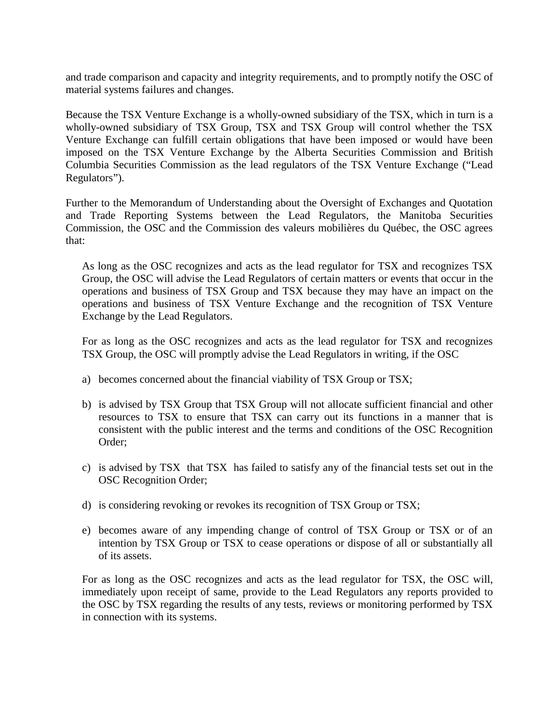and trade comparison and capacity and integrity requirements, and to promptly notify the OSC of material systems failures and changes.

Because the TSX Venture Exchange is a wholly-owned subsidiary of the TSX, which in turn is a wholly-owned subsidiary of TSX Group, TSX and TSX Group will control whether the TSX Venture Exchange can fulfill certain obligations that have been imposed or would have been imposed on the TSX Venture Exchange by the Alberta Securities Commission and British Columbia Securities Commission as the lead regulators of the TSX Venture Exchange ("Lead Regulators").

Further to the Memorandum of Understanding about the Oversight of Exchanges and Quotation and Trade Reporting Systems between the Lead Regulators, the Manitoba Securities Commission, the OSC and the Commission des valeurs mobilières du Québec, the OSC agrees that:

As long as the OSC recognizes and acts as the lead regulator for TSX and recognizes TSX Group, the OSC will advise the Lead Regulators of certain matters or events that occur in the operations and business of TSX Group and TSX because they may have an impact on the operations and business of TSX Venture Exchange and the recognition of TSX Venture Exchange by the Lead Regulators.

For as long as the OSC recognizes and acts as the lead regulator for TSX and recognizes TSX Group, the OSC will promptly advise the Lead Regulators in writing, if the OSC

- a) becomes concerned about the financial viability of TSX Group or TSX;
- b) is advised by TSX Group that TSX Group will not allocate sufficient financial and other resources to TSX to ensure that TSX can carry out its functions in a manner that is consistent with the public interest and the terms and conditions of the OSC Recognition Order;
- c) is advised by TSX that TSX has failed to satisfy any of the financial tests set out in the OSC Recognition Order;
- d) is considering revoking or revokes its recognition of TSX Group or TSX;
- e) becomes aware of any impending change of control of TSX Group or TSX or of an intention by TSX Group or TSX to cease operations or dispose of all or substantially all of its assets.

For as long as the OSC recognizes and acts as the lead regulator for TSX, the OSC will, immediately upon receipt of same, provide to the Lead Regulators any reports provided to the OSC by TSX regarding the results of any tests, reviews or monitoring performed by TSX in connection with its systems.